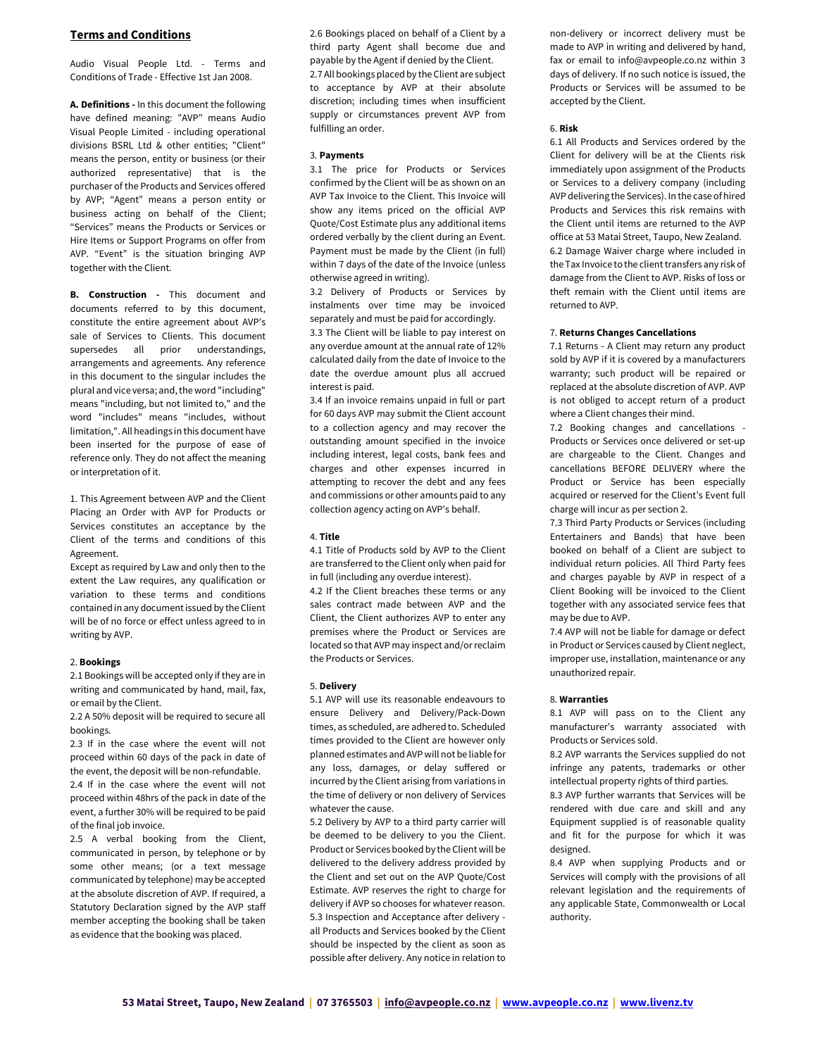# Terms and Conditions

Audio Visual People Ltd. - Terms and Conditions of Trade - Effective 1st Jan 2008.

A. Definitions - In this document the following have defined meaning: "AVP" means Audio Visual People Limited - including operational divisions BSRL Ltd & other entities; "Client" means the person, entity or business (or their authorized representative) that is the purchaser of the Products and Services offered by AVP; "Agent" means a person entity or business acting on behalf of the Client; "Services" means the Products or Services or Hire Items or Support Programs on offer from AVP. "Event" is the situation bringing AVP together with the Client.

**B. Construction - This document and** documents referred to by this document, constitute the entire agreement about AVP's sale of Services to Clients. This document supersedes all prior understandings, arrangements and agreements. Any reference in this document to the singular includes the plural and vice versa; and, the word "including" means "including, but not limited to," and the word "includes" means "includes, without limitation,". All headings in this document have been inserted for the purpose of ease of reference only. They do not affect the meaning or interpretation of it.

1. This Agreement between AVP and the Client Placing an Order with AVP for Products or Services constitutes an acceptance by the Client of the terms and conditions of this Agreement.

Except as required by Law and only then to the extent the Law requires, any qualification or variation to these terms and conditions contained in any document issued by the Client will be of no force or effect unless agreed to in writing by AVP.

# 2. Bookings

2.1 Bookings will be accepted only if they are in writing and communicated by hand, mail, fax, or email by the Client.

2.2 A 50% deposit will be required to secure all bookings.

2.3 If in the case where the event will not proceed within 60 days of the pack in date of the event, the deposit will be non-refundable. 2.4 If in the case where the event will not proceed within 48hrs of the pack in date of the event, a further 30% will be required to be paid of the final job invoice.

2.5 A verbal booking from the Client, communicated in person, by telephone or by some other means; (or a text message communicated by telephone) may be accepted at the absolute discretion of AVP. If required, a Statutory Declaration signed by the AVP staff member accepting the booking shall be taken as evidence that the booking was placed.

2.6 Bookings placed on behalf of a Client by a third party Agent shall become due and payable by the Agent if denied by the Client. 2.7 All bookings placed by the Client are subject to acceptance by AVP at their absolute discretion; including times when insufficient supply or circumstances prevent AVP from fulfilling an order.

## 3. Payments

3.1 The price for Products or Services confirmed by the Client will be as shown on an AVP Tax Invoice to the Client. This Invoice will show any items priced on the official AVP Quote/Cost Estimate plus any additional items ordered verbally by the client during an Event. Payment must be made by the Client (in full) within 7 days of the date of the Invoice (unless otherwise agreed in writing).

3.2 Delivery of Products or Services by instalments over time may be invoiced separately and must be paid for accordingly.

3.3 The Client will be liable to pay interest on any overdue amount at the annual rate of 12% calculated daily from the date of Invoice to the date the overdue amount plus all accrued interest is paid.

3.4 If an invoice remains unpaid in full or part for 60 days AVP may submit the Client account to a collection agency and may recover the outstanding amount specified in the invoice including interest, legal costs, bank fees and charges and other expenses incurred in attempting to recover the debt and any fees and commissions or other amounts paid to any collection agency acting on AVP's behalf.

### 4. Title

4.1 Title of Products sold by AVP to the Client are transferred to the Client only when paid for in full (including any overdue interest).

4.2 If the Client breaches these terms or any sales contract made between AVP and the Client, the Client authorizes AVP to enter any premises where the Product or Services are located so that AVP may inspect and/or reclaim the Products or Services.

## 5. Delivery

5.1 AVP will use its reasonable endeavours to ensure Delivery and Delivery/Pack-Down times, as scheduled, are adhered to. Scheduled times provided to the Client are however only planned estimates and AVP will not be liable for any loss, damages, or delay suffered or incurred by the Client arising from variations in the time of delivery or non delivery of Services whatever the cause.

5.2 Delivery by AVP to a third party carrier will be deemed to be delivery to you the Client. Product or Services booked by the Client will be delivered to the delivery address provided by the Client and set out on the AVP Quote/Cost Estimate. AVP reserves the right to charge for delivery if AVP so chooses for whatever reason. 5.3 Inspection and Acceptance after delivery all Products and Services booked by the Client should be inspected by the client as soon as possible after delivery. Any notice in relation to

non-delivery or incorrect delivery must be made to AVP in writing and delivered by hand, fax or email to info@avpeople.co.nz within 3 days of delivery. If no such notice is issued, the Products or Services will be assumed to be accepted by the Client.

#### 6. Risk

6.1 All Products and Services ordered by the Client for delivery will be at the Clients risk immediately upon assignment of the Products or Services to a delivery company (including AVP delivering the Services). In the case of hired Products and Services this risk remains with the Client until items are returned to the AVP office at 53 Matai Street, Taupo, New Zealand. 6.2 Damage Waiver charge where included in the Tax Invoice to the client transfers any risk of damage from the Client to AVP. Risks of loss or theft remain with the Client until items are returned to AVP.

## 7. Returns Changes Cancellations

7.1 Returns - A Client may return any product sold by AVP if it is covered by a manufacturers warranty; such product will be repaired or replaced at the absolute discretion of AVP. AVP is not obliged to accept return of a product where a Client changes their mind.

7.2 Booking changes and cancellations - Products or Services once delivered or set-up are chargeable to the Client. Changes and cancellations BEFORE DELIVERY where the Product or Service has been especially acquired or reserved for the Client's Event full charge will incur as per section 2.

7.3 Third Party Products or Services (including Entertainers and Bands) that have been booked on behalf of a Client are subject to individual return policies. All Third Party fees and charges payable by AVP in respect of a Client Booking will be invoiced to the Client together with any associated service fees that may be due to AVP.

7.4 AVP will not be liable for damage or defect in Product or Services caused by Client neglect, improper use, installation, maintenance or any unauthorized repair.

### 8. Warranties

8.1 AVP will pass on to the Client any manufacturer's warranty associated with Products or Services sold.

8.2 AVP warrants the Services supplied do not infringe any patents, trademarks or other intellectual property rights of third parties.

8.3 AVP further warrants that Services will be rendered with due care and skill and any Equipment supplied is of reasonable quality and fit for the purpose for which it was designed.

8.4 AVP when supplying Products and or Services will comply with the provisions of all relevant legislation and the requirements of any applicable State, Commonwealth or Local authority.